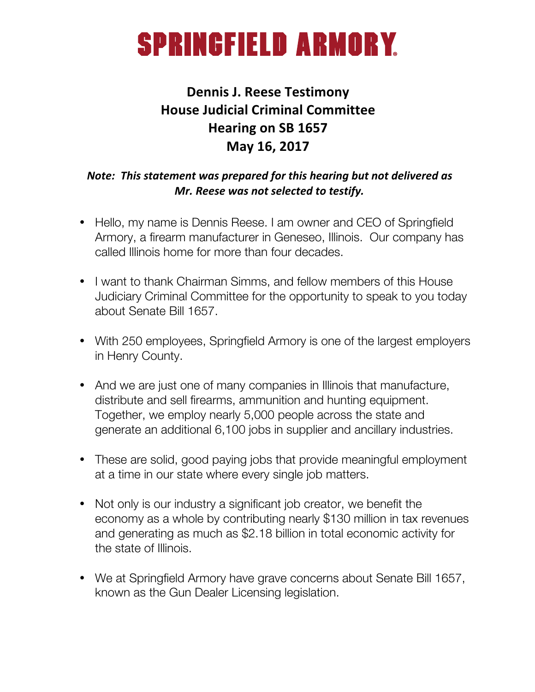### **SPRINGFIELD ARMORY.**

### **Dennis J. Reese Testimony House Judicial Criminal Committee Hearing on SB 1657 May 16, 2017**

#### *Note:* This statement was prepared for this hearing but not delivered as *Mr. Reese was not selected to testify.*

- Hello, my name is Dennis Reese. I am owner and CEO of Springfield Armory, a firearm manufacturer in Geneseo, Illinois. Our company has called Illinois home for more than four decades.
- I want to thank Chairman Simms, and fellow members of this House Judiciary Criminal Committee for the opportunity to speak to you today about Senate Bill 1657.
- With 250 employees, Springfield Armory is one of the largest employers in Henry County.
- And we are just one of many companies in Illinois that manufacture, distribute and sell firearms, ammunition and hunting equipment. Together, we employ nearly 5,000 people across the state and generate an additional 6,100 jobs in supplier and ancillary industries.
- These are solid, good paying jobs that provide meaningful employment at a time in our state where every single job matters.
- Not only is our industry a significant job creator, we benefit the economy as a whole by contributing nearly \$130 million in tax revenues and generating as much as \$2.18 billion in total economic activity for the state of Illinois.
- We at Springfield Armory have grave concerns about Senate Bill 1657, known as the Gun Dealer Licensing legislation.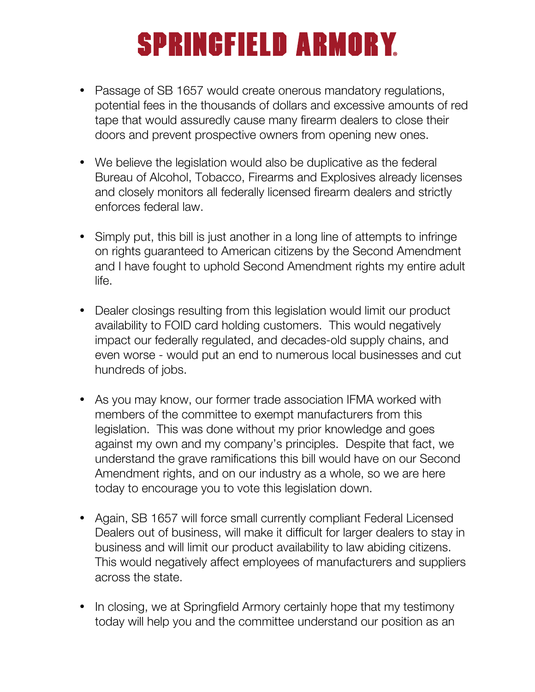# **SPRINGFIELD ARMORY**

- Passage of SB 1657 would create onerous mandatory regulations, potential fees in the thousands of dollars and excessive amounts of red tape that would assuredly cause many firearm dealers to close their doors and prevent prospective owners from opening new ones.
- We believe the legislation would also be duplicative as the federal Bureau of Alcohol, Tobacco, Firearms and Explosives already licenses and closely monitors all federally licensed firearm dealers and strictly enforces federal law.
- Simply put, this bill is just another in a long line of attempts to infringe on rights guaranteed to American citizens by the Second Amendment and I have fought to uphold Second Amendment rights my entire adult life.
- Dealer closings resulting from this legislation would limit our product availability to FOID card holding customers. This would negatively impact our federally regulated, and decades-old supply chains, and even worse - would put an end to numerous local businesses and cut hundreds of jobs.
- As you may know, our former trade association IFMA worked with members of the committee to exempt manufacturers from this legislation. This was done without my prior knowledge and goes against my own and my company's principles. Despite that fact, we understand the grave ramifications this bill would have on our Second Amendment rights, and on our industry as a whole, so we are here today to encourage you to vote this legislation down.
- Again, SB 1657 will force small currently compliant Federal Licensed Dealers out of business, will make it difficult for larger dealers to stay in business and will limit our product availability to law abiding citizens. This would negatively affect employees of manufacturers and suppliers across the state.
- In closing, we at Springfield Armory certainly hope that my testimony today will help you and the committee understand our position as an